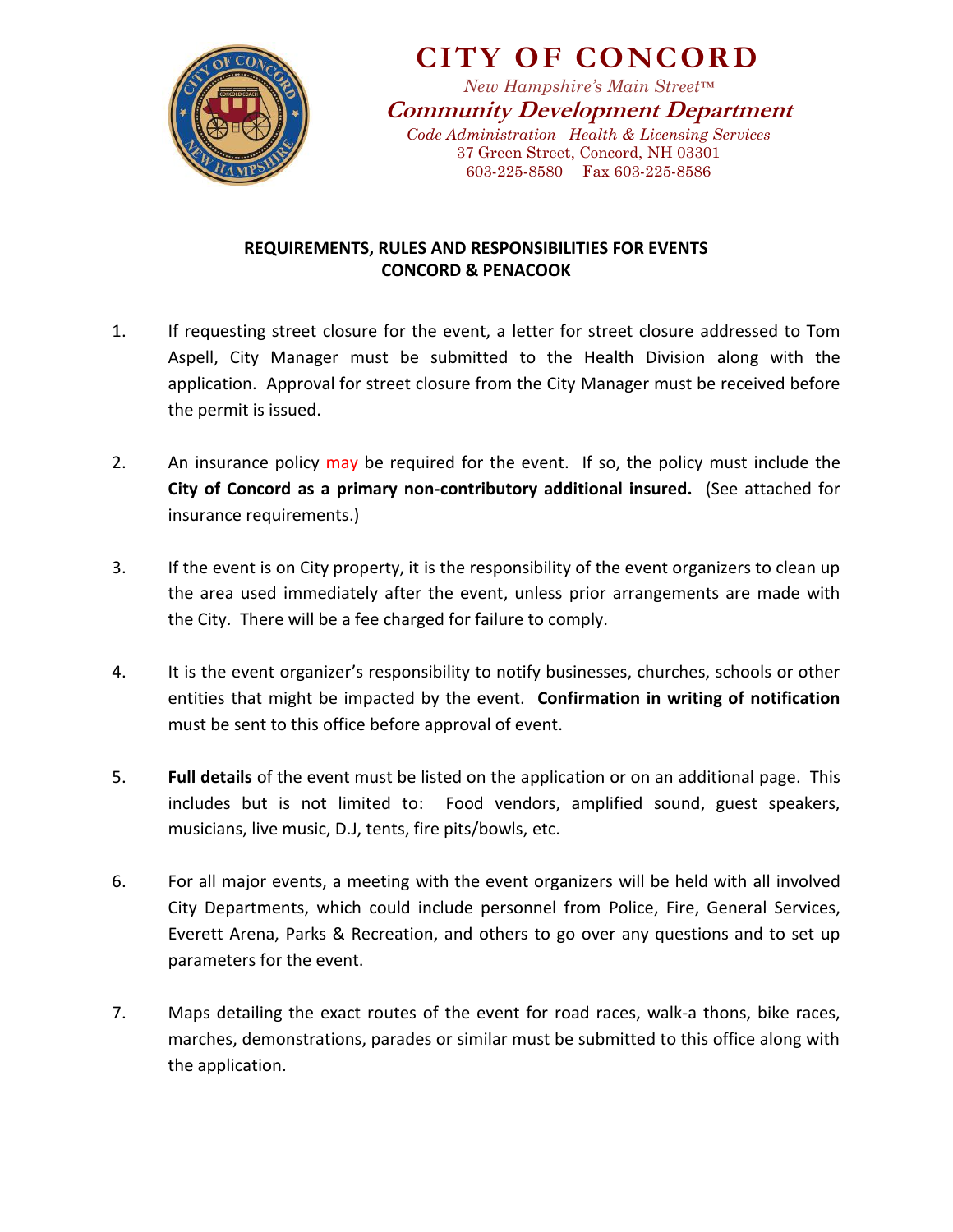

**CITY OF CONCORD**

*New Hampshire's Main Street™* **Community Development Department** *Code Administration –Health & Licensing Services* 37 Green Street, Concord, NH 03301 603-225-8580 Fax 603-225-8586

## **REQUIREMENTS, RULES AND RESPONSIBILITIES FOR EVENTS CONCORD & PENACOOK**

- 1. If requesting street closure for the event, a letter for street closure addressed to Tom Aspell, City Manager must be submitted to the Health Division along with the application. Approval for street closure from the City Manager must be received before the permit is issued.
- 2. An insurance policy may be required for the event. If so, the policy must include the **City of Concord as a primary non-contributory additional insured.** (See attached for insurance requirements.)
- 3. If the event is on City property, it is the responsibility of the event organizers to clean up the area used immediately after the event, unless prior arrangements are made with the City. There will be a fee charged for failure to comply.
- 4. It is the event organizer's responsibility to notify businesses, churches, schools or other entities that might be impacted by the event. **Confirmation in writing of notification** must be sent to this office before approval of event.
- 5. **Full details** of the event must be listed on the application or on an additional page. This includes but is not limited to: Food vendors, amplified sound, guest speakers, musicians, live music, D.J, tents, fire pits/bowls, etc.
- 6. For all major events, a meeting with the event organizers will be held with all involved City Departments, which could include personnel from Police, Fire, General Services, Everett Arena, Parks & Recreation, and others to go over any questions and to set up parameters for the event.
- 7. Maps detailing the exact routes of the event for road races, walk-a thons, bike races, marches, demonstrations, parades or similar must be submitted to this office along with the application.